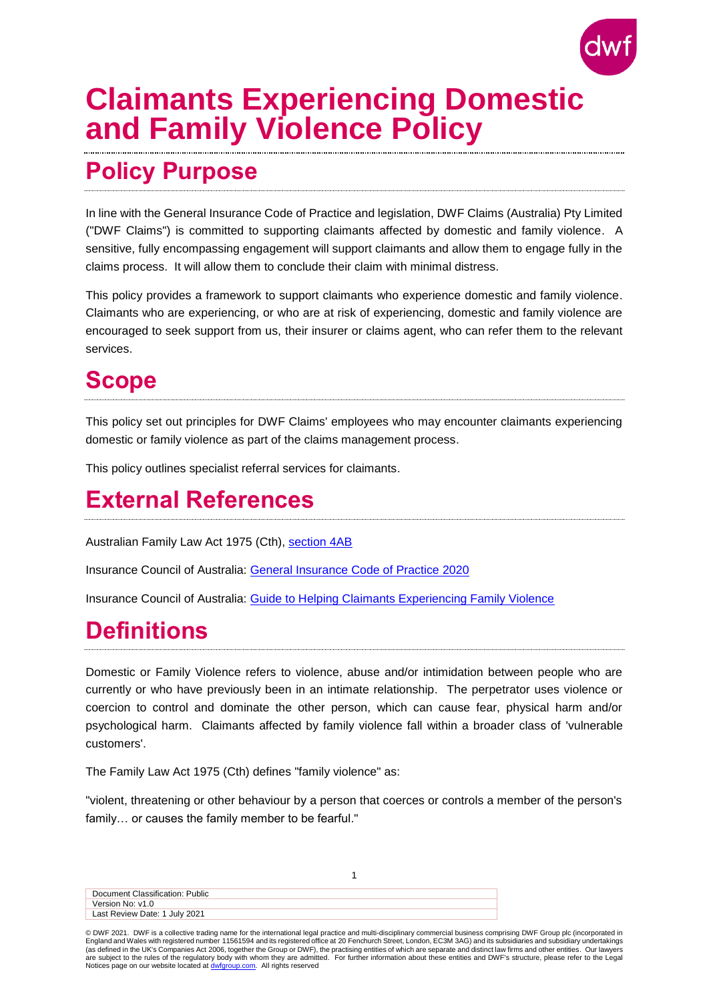

# **Claimants Experiencing Domestic and Family Violence Policy**

## **Policy Purpose**

In line with the General Insurance Code of Practice and legislation, DWF Claims (Australia) Pty Limited ("DWF Claims") is committed to supporting claimants affected by domestic and family violence. A sensitive, fully encompassing engagement will support claimants and allow them to engage fully in the claims process. It will allow them to conclude their claim with minimal distress.

This policy provides a framework to support claimants who experience domestic and family violence. Claimants who are experiencing, or who are at risk of experiencing, domestic and family violence are encouraged to seek support from us, their insurer or claims agent, who can refer them to the relevant services.

### **Scope**

This policy set out principles for DWF Claims' employees who may encounter claimants experiencing domestic or family violence as part of the claims management process.

This policy outlines specialist referral services for claimants.

### **External References**

Australian Family Law Act 1975 (Cth), [section](https://www.legislation.gov.au/Details/C2020C00374) 4AB

Insurance Council of Australia: [General Insurance Code of Practice](https://insurancecouncil.com.au/wp-content/uploads/2020/01/ICA007_COP_Report_2021-Updates_2.1_LR.pdf) 2020

Insurance Council of Australia: [Guide to Helping Claimants Experiencing Family Violence](https://insurancecouncil.com.au/wp-content/uploads/2020/01/2021_07_REPORT_Family_Violence.pdf)

## **Definitions**

Domestic or Family Violence refers to violence, abuse and/or intimidation between people who are currently or who have previously been in an intimate relationship. The perpetrator uses violence or coercion to control and dominate the other person, which can cause fear, physical harm and/or psychological harm. Claimants affected by family violence fall within a broader class of 'vulnerable customers'.

The Family Law Act 1975 (Cth) defines "family violence" as:

"violent, threatening or other behaviour by a person that coerces or controls a member of the person's family… or causes the family member to be fearful."

| Document Classification: Public |  |
|---------------------------------|--|
| Version No: v1.0                |  |
| Last Review Date: 1 July 2021   |  |

© DWF 2021. DWF is a collective trading name for the international legal practice and multi-disciplinary commercial business comprising DWF Group plc (incorporated in England and Wales with registered number 11561594 and its registered office at 20 Fenchurch Street, London, EC3M 3AG) and its subsidiaries and subsidiary undertakings<br>(as defined in the UK's Companies Act 2006, together th are subject to the rules of the regulatory body with whom they are admitted. For further information about these entities and DWF's structure, please refer to the Legal Notices page on our website located at **dwfgroup.com**. All rights reserved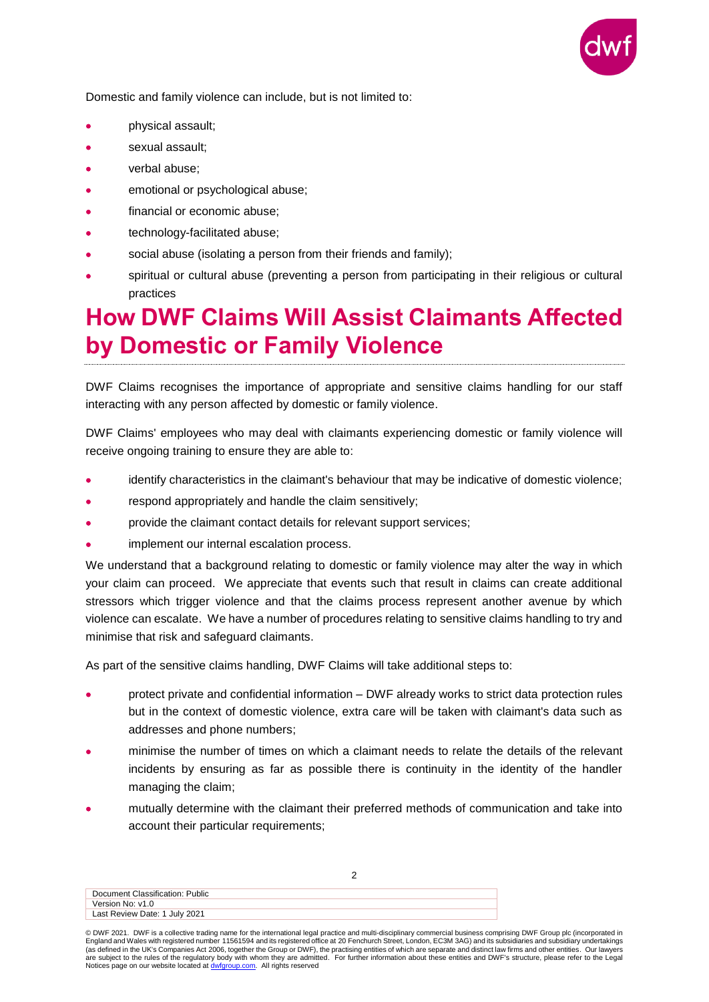

Domestic and family violence can include, but is not limited to:

- physical assault;
- sexual assault;
- verbal abuse;
- emotional or psychological abuse;
- financial or economic abuse;
- technology-facilitated abuse;
- social abuse (isolating a person from their friends and family);
- spiritual or cultural abuse (preventing a person from participating in their religious or cultural practices

#### **How DWF Claims Will Assist Claimants Affected by Domestic or Family Violence**

DWF Claims recognises the importance of appropriate and sensitive claims handling for our staff interacting with any person affected by domestic or family violence.

DWF Claims' employees who may deal with claimants experiencing domestic or family violence will receive ongoing training to ensure they are able to:

- identify characteristics in the claimant's behaviour that may be indicative of domestic violence;
- respond appropriately and handle the claim sensitively;
- provide the claimant contact details for relevant support services;
- implement our internal escalation process.

We understand that a background relating to domestic or family violence may alter the way in which your claim can proceed. We appreciate that events such that result in claims can create additional stressors which trigger violence and that the claims process represent another avenue by which violence can escalate. We have a number of procedures relating to sensitive claims handling to try and minimise that risk and safeguard claimants.

As part of the sensitive claims handling, DWF Claims will take additional steps to:

- protect private and confidential information DWF already works to strict data protection rules but in the context of domestic violence, extra care will be taken with claimant's data such as addresses and phone numbers;
- minimise the number of times on which a claimant needs to relate the details of the relevant incidents by ensuring as far as possible there is continuity in the identity of the handler managing the claim;
- mutually determine with the claimant their preferred methods of communication and take into account their particular requirements;

Document Classification: Public Version No: v1.0 Last Review Date: 1 July 2021

<sup>©</sup> DWF 2021. DWF is a collective trading name for the international legal practice and multi-disciplinary commercial business comprising DWF Group plc (incorporated in England and Wales with registered number 11561594 and its registered office at 20 Fenchurch Street, London, EC3M 3AG) and its subsidiaries and subsidiary undertakings<br>(as defined in the UK's Companies Act 2006, together th Notices page on our website located at **dwfgroup.com**. All rights reserved